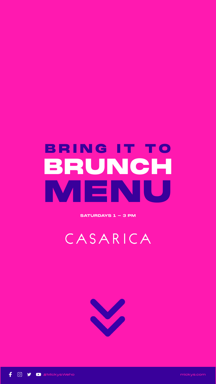

# BRING IT TO BRUNCH



**SATURDAYS 1 - 3 PM** 

# CASARICA

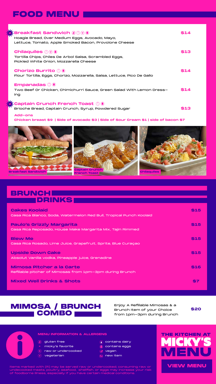### **MENU INFORMATION & ALLERGENS**

- **(8)** gluten free
- micky's favorite
- $R$  raw or undercooked
- $\left(\overline{\mathbf{V}}\right)$ vegeterian
- $\left(\begin{matrix}\widehat{\hspace{0.1cm}\widehat{\hspace{0.1cm}\widehat{\hspace{0.1cm}\widehat{\hspace{0.1cm}\widehat{\hspace{0.1cm}\widehat{\hspace{0.1cm}\widehat{\hspace{0.1cm}\widehat{\hspace{0.1cm}\widehat{\hspace{0.1cm}\widehat{\hspace{0.1cm}\widehat{\hspace{0.1cm}\widehat{\hspace{0.1cm}\widehat{\hspace{0.1cm}\widehat{\hspace{0.1cm}\widehat{\hspace{0.1cm}\widehat{\hspace{0.1cm}\widehat{\hspace{0.1cm}\widehat{\hspace{0.1cm}\widehat{\hspace{0.1cm}\widehat{\hs$
- contains eggs
- vegan  $\boldsymbol{C}$
- $\Omega$  new item



#### items marked with (R) may be served raw or undercooked; consuming raw or undecooked meats, poultry, seafood, shellfish, or eggs may increase your risk of foodborne illness, especially if you have certain medical conditions.



# FOOD MENU

| <b>M-Breakfast Sandwich @ 0 0 0</b><br>Hoagie Bread, Over Medium Eggs, Avocado, Mayo,<br>Lettuce, Tomato, Apple Smoked Bacon, Provolone Cheese |      |
|------------------------------------------------------------------------------------------------------------------------------------------------|------|
| <b>Chilaquiles 8000</b><br>Tortilla Chips, Chiles De Arbol Salsa, Scrambled Eggs,<br>Pickled White Onion, Mozzarella Cheese                    | \$13 |
| <b>Chorizo Burrito (8) (8)</b><br>Flour Tortilla, Eggs, Chorizo, Mozzarella, Salsa, Lettuce, Pico De Gallo                                     | \$14 |
| <b>Empanadas 00</b><br>Two Beef Or Chicken, Chimichurri Sauce, Green Salad With Lemon Dress-<br>ing                                            | \$14 |
| <b>M-Captain Crunch French Toast 00</b><br>Brioche Bread, Captain Crunch, Syrup, Powdered Sugar<br>Add and                                     |      |

#### **Add-ons**

**Chicken breast \$9 | Side of avocado \$3 | Side of Sour Cream \$1 | side of bacon \$7**

## MIMOSA / BRUNCH COMBO

| <b>Cakes Koolaid</b>                                                | \$15       |
|---------------------------------------------------------------------|------------|
| Casa Rica Blanco, Soda, Watermelon Red Bull, Tropical Punch Koolaid |            |
| <b>Paulo's Grizzly Margarita</b>                                    | <b>S15</b> |
| Casa Rica Reposado, House Make Margarita Mix, Tajin Rimmed          |            |
| <b>Blew Me</b>                                                      | <b>S15</b> |
| Casa Rica Rosado, Lime Juice, Grapefruit, Sprite, Blue Curaçao      |            |
| <b>Upside Down Cake</b>                                             | \$15       |
| Absolut Vanilla vodka, Pineapple juice, Grenadine                   |            |
| <b>Mimosa Pitcher a la Carte</b>                                    | \$16       |
| Refillable pitcher of Mimosas from 1pm-3pm during Brunch            |            |
| <b>Mixed Well Drinks &amp; Shots</b>                                | \$7        |

Enjoy A Refillable Mimosas & a Brunch Item of your Choice from 1pm-3pm during Brunch

**\$20**





## BRUNCHL **DRINKS**